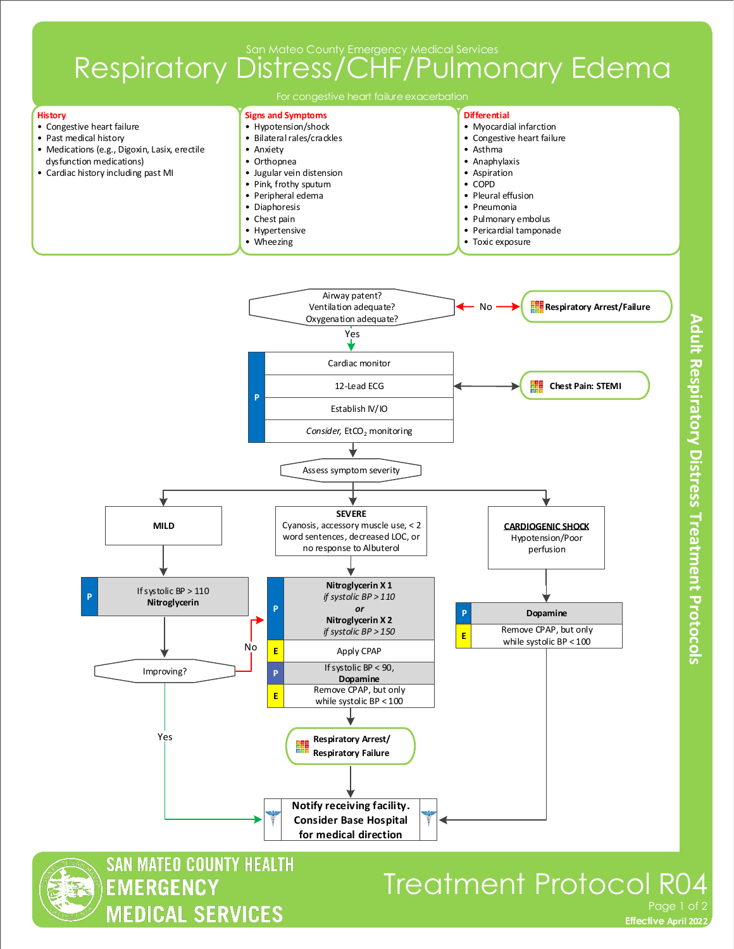## Respiratory Distress/CHF/Pulmonary Edema



**for medical direction**

**Adult Respiratory Distress Treatment Protocols** 

**SAN MATEO COUNTY HEALTH EMERGENCY MEDICAL SERVICES** 

## Treatment Protocol R04 Page 1 of 2

**Effective November 2018 Effective April 2022**